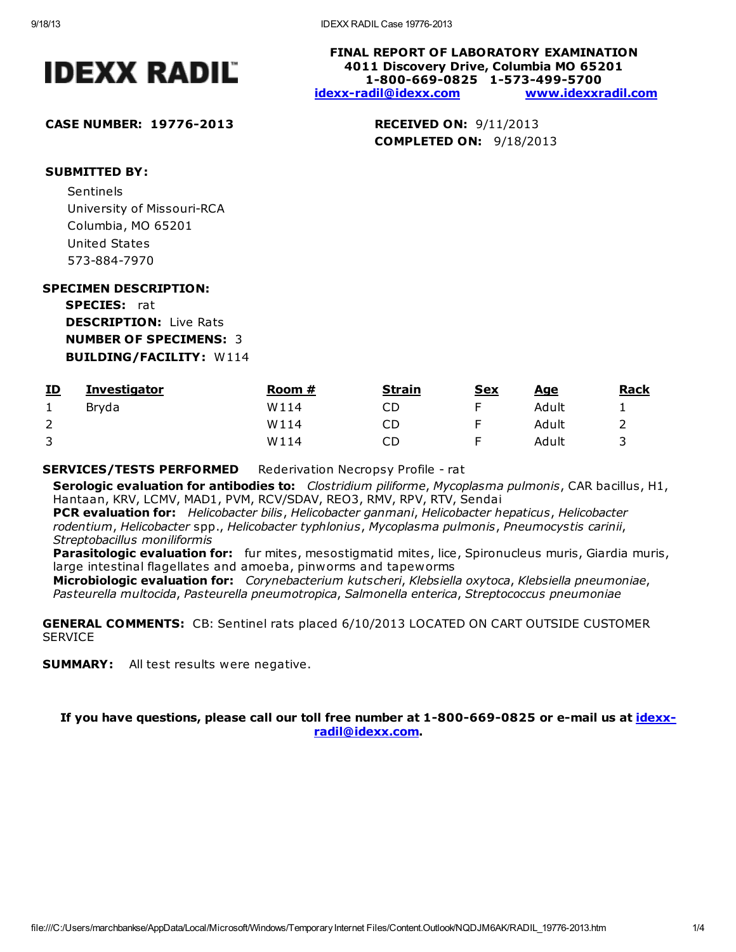

CASE NUMBER: 19776-2013 RECEIVED ON: 9/11/2013

FINAL REPORT OF LABORATORY EXAMINATION 4011 Discovery Drive, Columbia MO 65201 1-800-669-0825 1-573-499-5700 [idexx-radil@idexx.com](mailto:idexx-radil@idexx.com) [www.idexxradil.com](http://www.idexxradil.com/)

COMPLETED ON: 9/18/2013

### SUBMITTED BY:

Sentinels University of Missouri-RCA Columbia, MO 65201 United States 573-884-7970

### SPECIMEN DESCRIPTION:

SPECIES: rat DESCRIPTION: Live Rats NUMBER OF SPECIMENS: 3 BUILDING/FACILITY: W114

| ID | <b>Investigator</b> | Room # | <b>Strain</b> | <u>Sex</u> | <u>Age</u> | <u>Rack</u> |
|----|---------------------|--------|---------------|------------|------------|-------------|
| Ŧ  | Brvda               | W114   | CD            |            | Adult      | -           |
| 2  |                     | W114   | CD            |            | Adult      |             |
| 3  |                     | W114   | CГ            |            | Adult      |             |

### SERVICES/TESTS PERFORMED Rederivation Necropsy Profile - rat

Serologic evaluation for antibodies to: Clostridium piliforme, Mycoplasma pulmonis, CAR bacillus, H1, Hantaan, KRV, LCMV, MAD1, PVM, RCV/SDAV, REO3, RMV, RPV, RTV, Sendai

PCR evaluation for: Helicobacter bilis, Helicobacter ganmani, Helicobacter hepaticus, Helicobacter rodentium, Helicobacter spp., Helicobacter typhlonius, Mycoplasma pulmonis, Pneumocystis carinii, Streptobacillus moniliformis

Parasitologic evaluation for: fur mites, mesostigmatid mites, lice, Spironucleus muris, Giardia muris, large intestinal flagellates and amoeba, pinworms and tapeworms

Microbiologic evaluation for: Corynebacterium kutscheri, Klebsiella oxytoca, Klebsiella pneumoniae, Pasteurella multocida, Pasteurella pneumotropica, Salmonella enterica, Streptococcus pneumoniae

GENERAL COMMENTS: CB: Sentinel rats placed 6/10/2013 LOCATED ON CART OUTSIDE CUSTOMER SERVICE

**SUMMARY:** All test results were negative.

If you have questions, please call our toll free number at [1-800-669-0825](mailto:idexx-radil@idexx.com) or e-mail us at idexxradil@idexx.com.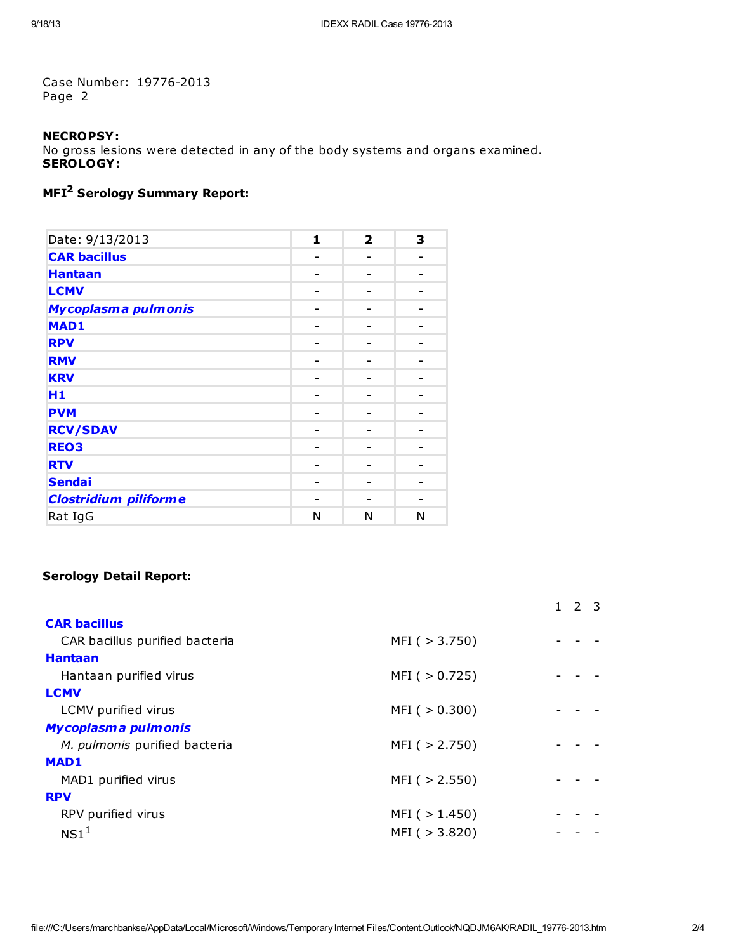Case Number: 19776-2013 Page 2

## NECROPSY:

No gross lesions were detected in any of the body systems and organs examined. SEROLOGY:

# MFI<sup>2</sup> Serology Summary Report:

| 1 | $\overline{\mathbf{2}}$  | З |
|---|--------------------------|---|
|   |                          |   |
|   |                          |   |
|   |                          |   |
|   |                          |   |
|   |                          |   |
|   |                          |   |
|   |                          |   |
|   |                          |   |
|   |                          |   |
|   |                          |   |
|   | $\overline{\phantom{0}}$ |   |
|   |                          |   |
|   |                          |   |
|   |                          |   |
|   |                          |   |
|   |                          |   |
| N | Ν                        | N |
|   |                          |   |

## Serology Detail Report:

|                                |               | $1 \t2 \t3$ |  |
|--------------------------------|---------------|-------------|--|
| <b>CAR bacillus</b>            |               |             |  |
| CAR bacillus purified bacteria | MFI( > 3.750) |             |  |
| <b>Hantaan</b>                 |               |             |  |
| Hantaan purified virus         | MFI( > 0.725) |             |  |
| <b>LCMV</b>                    |               |             |  |
| LCMV purified virus            | MFI( > 0.300) |             |  |
| My coplasma pulmonis           |               |             |  |
| M. pulmonis purified bacteria  | MFI( > 2.750) |             |  |
| <b>MAD1</b>                    |               |             |  |
| MAD1 purified virus            | MFI( > 2.550) |             |  |
| <b>RPV</b>                     |               |             |  |
| RPV purified virus             | MFI( > 1.450) |             |  |
| NS1 <sup>1</sup>               | MFI( > 3.820) |             |  |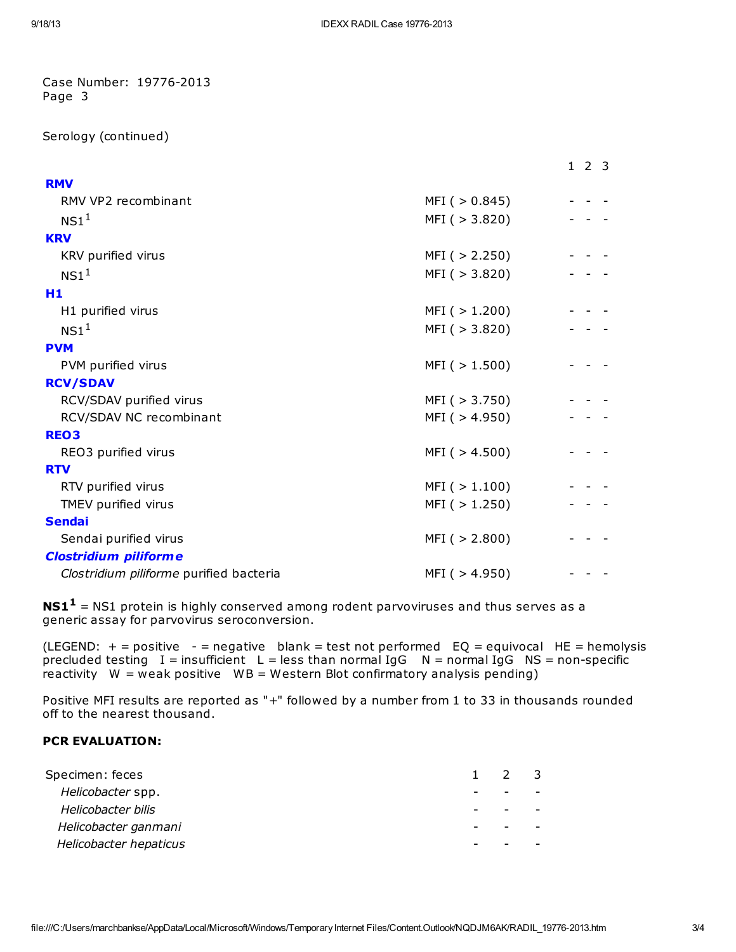Case Number: 19776-2013 Page 3

Serology (continued)

|               | $1\quad2\quad3$ |
|---------------|-----------------|
|               |                 |
| MFI( > 0.845) |                 |
| MFI( > 3.820) |                 |
|               |                 |
| MFI( > 2.250) |                 |
| MFI( > 3.820) |                 |
|               |                 |
| MFI( > 1.200) |                 |
| MFI( > 3.820) |                 |
|               |                 |
| MFI( > 1.500) |                 |
|               |                 |
| MFI( > 3.750) |                 |
| MFI( > 4.950) |                 |
|               |                 |
| MFI( > 4.500) |                 |
|               |                 |
| MFI( > 1.100) |                 |
| MFI( > 1.250) |                 |
|               |                 |
| MFI( > 2.800) |                 |
|               |                 |
| MFI( > 4.950) |                 |
|               |                 |

 $NS1<sup>1</sup>$  = NS1 protein is highly conserved among rodent parvoviruses and thus serves as a generic assay for parvovirus seroconversion.

(LEGEND:  $+$  = positive - = negative blank = test not performed EQ = equivocal HE = hemolysis precluded testing  $I =$  insufficient  $L =$  less than normal IgG  $N =$  normal IgG  $NS =$  non-specific reactivity  $W =$  weak positive  $WB =$  Western Blot confirmatory analysis pending)

Positive MFI results are reported as "+" followed by a number from 1 to 33 in thousands rounded off to the nearest thousand.

## PCR EVALUATION:

| Specimen: feces        | $\mathbf{1}$ | 2 3 |  |
|------------------------|--------------|-----|--|
| Helicobacter spp.      |              |     |  |
| Helicobacter bilis     |              |     |  |
| Helicobacter ganmani   |              |     |  |
| Helicobacter hepaticus |              |     |  |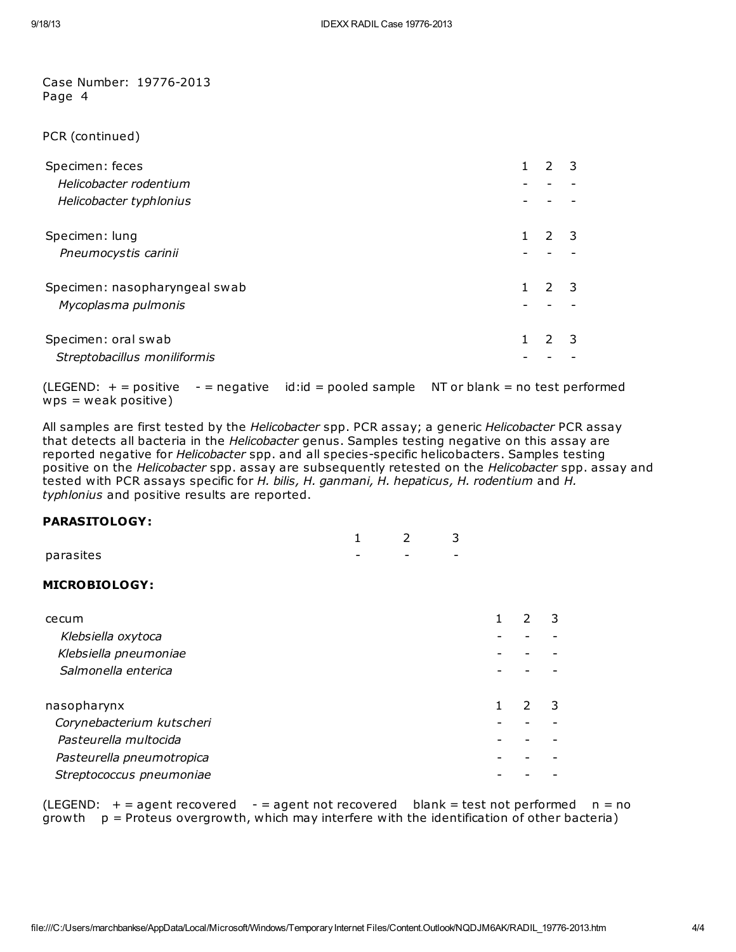Case Number: 19776-2013 Page 4

#### PCR (continued)

| Specimen: feces                                   |  | 3 |
|---------------------------------------------------|--|---|
| Helicobacter rodentium<br>Helicobacter typhlonius |  |   |
| Specimen: lung                                    |  |   |
| Pneumocystis carinii                              |  |   |
| Specimen: nasopharyngeal swab                     |  |   |
| Mycoplasma pulmonis                               |  |   |
| Specimen: oral swab                               |  |   |
| Streptobacillus moniliformis                      |  |   |

(LEGEND:  $+$  = positive  $-$  = negative id:id = pooled sample NT or blank = no test performed wps = weak positive)

All samples are first tested by the Helicobacter spp. PCR assay; a generic Helicobacter PCR assay that detects all bacteria in the *Helicobacter* genus. Samples testing negative on this assay are reported negative for *Helicobacter* spp. and all species-specific helicobacters. Samples testing positive on the Helicobacter spp. assay are subsequently retested on the Helicobacter spp. assay and tested with PCR assays specific for H. bilis, H. ganmani, H. hepaticus, H. rodentium and H. typhlonius and positive results are reported.

# PARASITOLOGY:

|   |   |   | 2 | 3 |
|---|---|---|---|---|
|   |   |   |   |   |
|   |   |   |   |   |
|   |   |   |   |   |
|   |   |   | 2 | 3 |
|   |   |   |   |   |
|   |   |   |   |   |
|   |   |   |   |   |
|   |   |   |   |   |
| 1 | 2 | 3 |   |   |

(LEGEND:  $+$  = agent recovered  $-$  = agent not recovered blank = test not performed  $n = no$ growth  $p =$  Proteus overgrowth, which may interfere with the identification of other bacteria)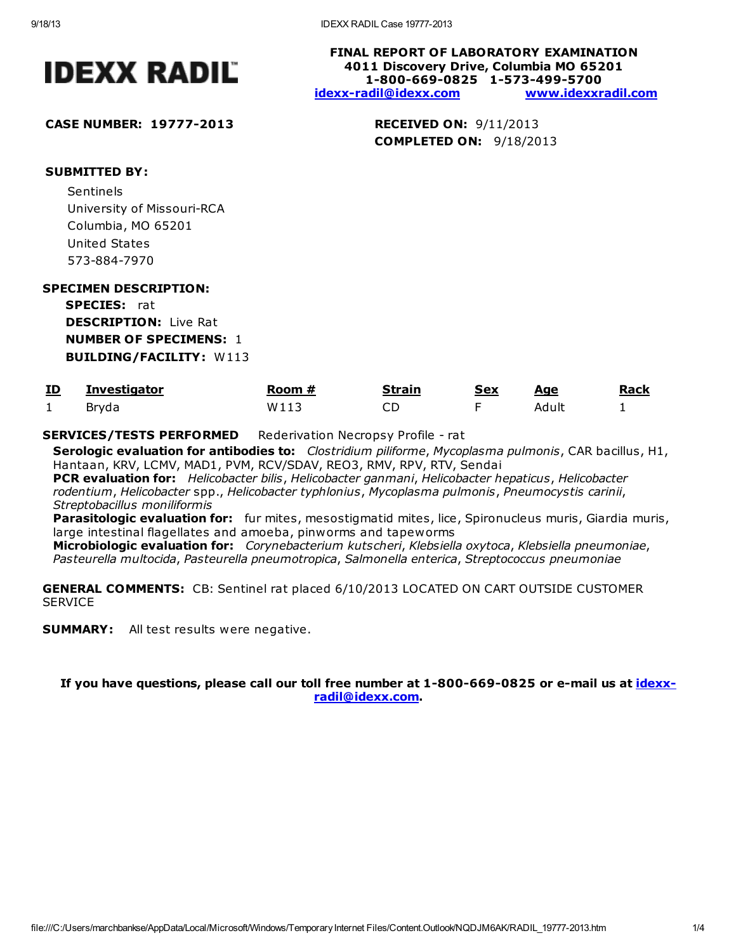

CASE NUMBER: 19777-2013 RECEIVED ON: 9/11/2013

FINAL REPORT OF LABORATORY EXAMINATION 4011 Discovery Drive, Columbia MO 65201 1-800-669-0825 1-573-499-5700 [idexx-radil@idexx.com](mailto:idexx-radil@idexx.com) [www.idexxradil.com](http://www.idexxradil.com/)

COMPLETED ON: 9/18/2013

### SUBMITTED BY:

Sentinels University of Missouri-RCA Columbia, MO 65201 United States 573-884-7970

#### SPECIMEN DESCRIPTION:

SPECIES: rat DESCRIPTION: Live Rat NUMBER OF SPECIMENS: 1 BUILDING/FACILITY: W113

| <u>ID</u> | <b>Investigator</b> | Room # | <b>Strain</b> | Sex | Aae   | <u>Rack</u> |
|-----------|---------------------|--------|---------------|-----|-------|-------------|
|           | Brvda               | W113   |               |     | Adult |             |

SERVICES/TESTS PERFORMED Rederivation Necropsy Profile - rat

Serologic evaluation for antibodies to: Clostridium piliforme, Mycoplasma pulmonis, CAR bacillus, H1, Hantaan, KRV, LCMV, MAD1, PVM, RCV/SDAV, REO3, RMV, RPV, RTV, Sendai

PCR evaluation for: Helicobacter bilis, Helicobacter ganmani, Helicobacter hepaticus, Helicobacter rodentium, Helicobacter spp., Helicobacter typhlonius, Mycoplasma pulmonis, Pneumocystis carinii, Streptobacillus moniliformis

Parasitologic evaluation for: fur mites, mesostigmatid mites, lice, Spironucleus muris, Giardia muris, large intestinal flagellates and amoeba, pinworms and tapeworms

Microbiologic evaluation for: Corynebacterium kutscheri, Klebsiella oxytoca, Klebsiella pneumoniae, Pasteurella multocida, Pasteurella pneumotropica, Salmonella enterica, Streptococcus pneumoniae

GENERAL COMMENTS: CB: Sentinel rat placed 6/10/2013 LOCATED ON CART OUTSIDE CUSTOMER **SERVICE** 

**SUMMARY:** All test results were negative.

### If you have questions, please call our toll free number at [1-800-669-0825](mailto:idexx-radil@idexx.com) or e-mail us at idexxradil@idexx.com.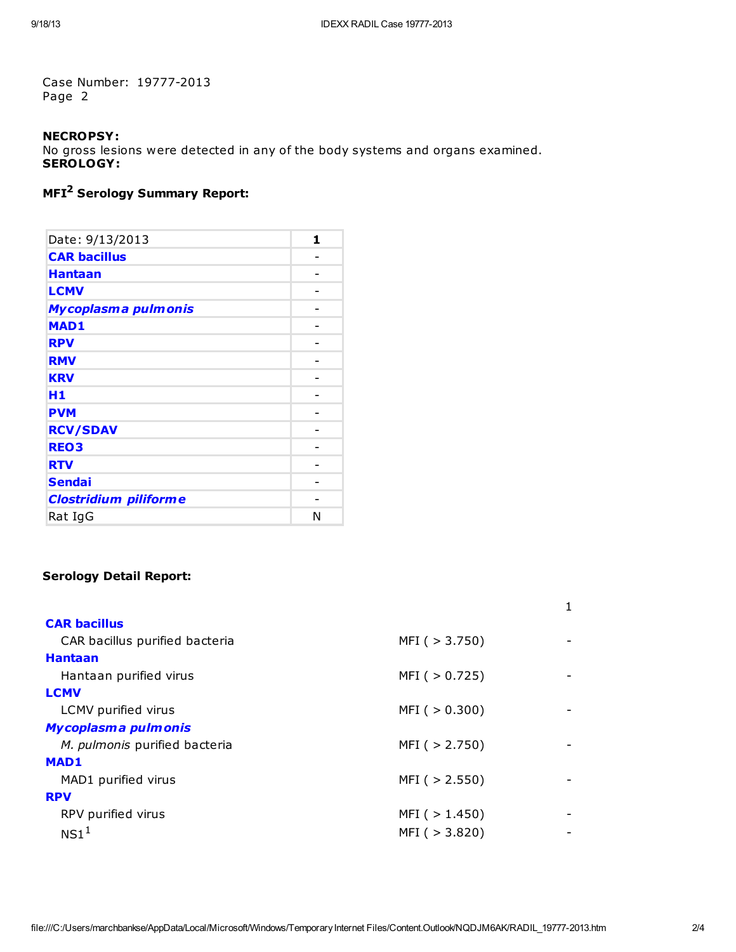Case Number: 19777-2013 Page 2

## NECROPSY:

No gross lesions were detected in any of the body systems and organs examined. SEROLOGY:

# MFI<sup>2</sup> Serology Summary Report:

| Date: 9/13/2013              | 1 |
|------------------------------|---|
| <b>CAR bacillus</b>          |   |
| <b>Hantaan</b>               |   |
| <b>LCMV</b>                  |   |
| Mycoplasma pulmonis          |   |
| <b>MAD1</b>                  |   |
| <b>RPV</b>                   |   |
| <b>RMV</b>                   |   |
| <b>KRV</b>                   |   |
| Н1                           |   |
| <b>PVM</b>                   |   |
| <b>RCV/SDAV</b>              |   |
| <b>REO3</b>                  |   |
| <b>RTV</b>                   |   |
| <b>Sendai</b>                |   |
| <b>Clostridium piliforme</b> |   |
| Rat IgG                      | N |

# Serology Detail Report:

| <b>CAR bacillus</b>            |               |  |
|--------------------------------|---------------|--|
| CAR bacillus purified bacteria | MFI( > 3.750) |  |
| <b>Hantaan</b>                 |               |  |
| Hantaan purified virus         | MFI( > 0.725) |  |
| <b>LCMV</b>                    |               |  |
| LCMV purified virus            | MFI( > 0.300) |  |
| My coplasma pulmonis           |               |  |
| M. pulmonis purified bacteria  | MFI( > 2.750) |  |
| <b>MAD1</b>                    |               |  |
| MAD1 purified virus            | MFI( > 2.550) |  |
| <b>RPV</b>                     |               |  |
| RPV purified virus             | MFI( > 1.450) |  |
| NS1 <sup>1</sup>               | MFI( > 3.820) |  |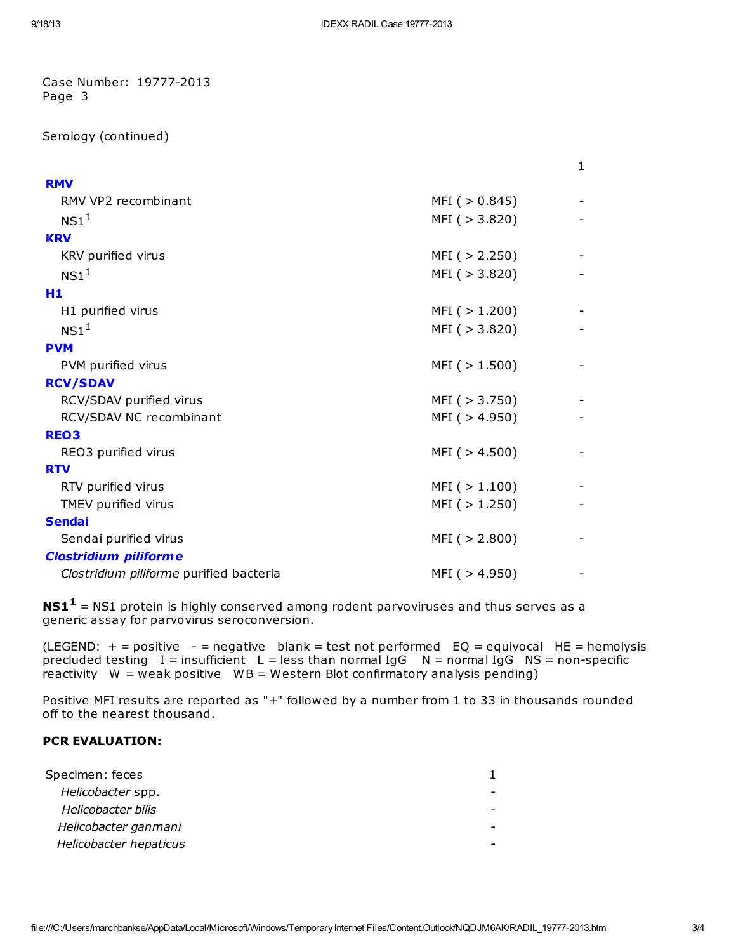Case Number: 19777-2013 Page 3

Serology (continued)

|                                         |               | 1 |
|-----------------------------------------|---------------|---|
| <b>RMV</b>                              |               |   |
| RMV VP2 recombinant                     | MFI( > 0.845) |   |
| NS1 <sup>1</sup>                        | MFI( > 3.820) |   |
| <b>KRV</b>                              |               |   |
| KRV purified virus                      | MFI( > 2.250) |   |
| NS1 <sup>1</sup>                        | MFI (> 3.820) |   |
| H1                                      |               |   |
| H1 purified virus                       | MFI( > 1.200) |   |
| NS1 <sup>1</sup>                        | MFI (> 3.820) |   |
| <b>PVM</b>                              |               |   |
| PVM purified virus                      | MFI( > 1.500) |   |
| <b>RCV/SDAV</b>                         |               |   |
| RCV/SDAV purified virus                 | MFI( > 3.750) |   |
| RCV/SDAV NC recombinant                 | MFI( > 4.950) |   |
| <b>REO3</b>                             |               |   |
| REO3 purified virus                     | MFI( > 4.500) |   |
| <b>RTV</b>                              |               |   |
| RTV purified virus                      | MFI( > 1.100) |   |
| TMEV purified virus                     | MFI( > 1.250) |   |
| <b>Sendai</b>                           |               |   |
| Sendai purified virus                   | MFI( > 2.800) |   |
| <b>Clostridium piliforme</b>            |               |   |
| Clostridium piliforme purified bacteria | MFI( > 4.950) |   |

 $NS1<sup>1</sup>$  = NS1 protein is highly conserved among rodent parvoviruses and thus serves as a generic assay for parvovirus seroconversion.

(LEGEND:  $+$  = positive - = negative blank = test not performed EQ = equivocal HE = hemolysis precluded testing  $I =$  insufficient  $L =$  less than normal IgG  $N =$  normal IgG  $NS =$  non-specific reactivity  $W =$  weak positive  $WB =$  Western Blot confirmatory analysis pending)

Positive MFI results are reported as "+" followed by a number from 1 to 33 in thousands rounded off to the nearest thousand.

## PCR EVALUATION:

| Specimen: feces        |  |
|------------------------|--|
| Helicobacter spp.      |  |
| Helicobacter bilis     |  |
| Helicobacter ganmani   |  |
| Helicobacter hepaticus |  |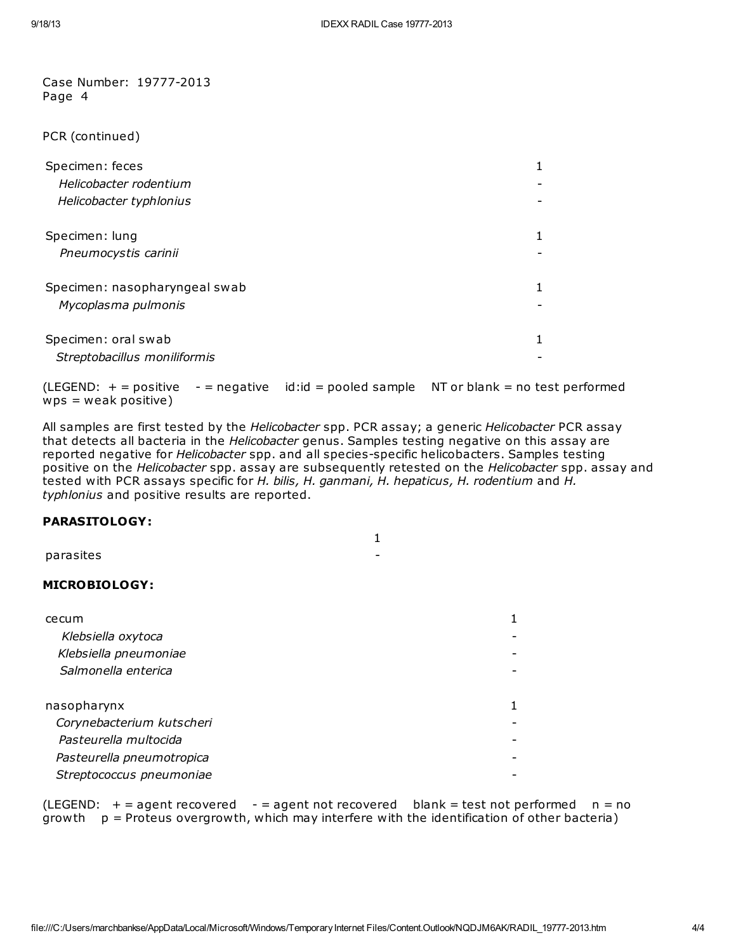Case Number: 19777-2013 Page 4

PCR (continued)

| Specimen: feces<br>Helicobacter rodentium<br>Helicobacter typhlonius |  |
|----------------------------------------------------------------------|--|
| Specimen: lung<br>Pneumocystis carinii                               |  |
| Specimen: nasopharyngeal swab<br>Mycoplasma pulmonis                 |  |
| Specimen: oral swab<br>Streptobacillus moniliformis                  |  |

(LEGEND:  $+$  = positive  $-$  = negative id:id = pooled sample NT or blank = no test performed wps = weak positive)

All samples are first tested by the Helicobacter spp. PCR assay; a generic Helicobacter PCR assay that detects all bacteria in the *Helicobacter* genus. Samples testing negative on this assay are reported negative for *Helicobacter* spp. and all species-specific helicobacters. Samples testing positive on the Helicobacter spp. assay are subsequently retested on the Helicobacter spp. assay and tested with PCR assays specific for H. bilis, H. ganmani, H. hepaticus, H. rodentium and H. typhlonius and positive results are reported.

1

#### PARASITOLOGY:

| parasites                 |  |
|---------------------------|--|
| <b>MICROBIOLOGY:</b>      |  |
| cecum                     |  |
| Klebsiella oxytoca        |  |
| Klebsiella pneumoniae     |  |
| Salmonella enterica       |  |
| nasopharynx               |  |
| Corynebacterium kutscheri |  |
| Pasteurella multocida     |  |
| Pasteurella pneumotropica |  |
| Streptococcus pneumoniae  |  |

(LEGEND:  $+$  = agent recovered  $-$  = agent not recovered blank = test not performed  $n = no$ growth  $p =$  Proteus overgrowth, which may interfere with the identification of other bacteria)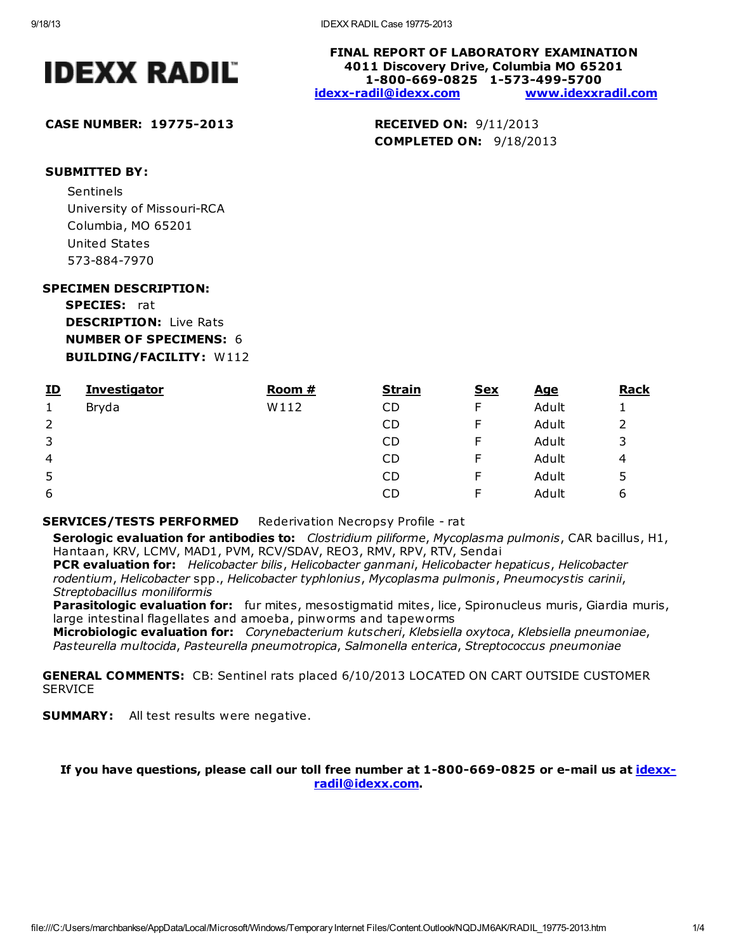

CASE NUMBER: 19775-2013 RECEIVED ON: 9/11/2013

FINAL REPORT OF LABORATORY EXAMINATION 4011 Discovery Drive, Columbia MO 65201 1-800-669-0825 1-573-499-5700 [idexx-radil@idexx.com](mailto:idexx-radil@idexx.com) [www.idexxradil.com](http://www.idexxradil.com/)

COMPLETED ON: 9/18/2013

### SUBMITTED BY:

Sentinels University of Missouri-RCA Columbia, MO 65201 United States 573-884-7970

#### SPECIMEN DESCRIPTION:

SPECIES: rat DESCRIPTION: Live Rats NUMBER OF SPECIMENS: 6 BUILDING/FACILITY: W112

| $\underline{\mathbf{ID}}$ | <b>Investigator</b> | Room # | <b>Strain</b> | <u>Sex</u> | <u>Age</u> | <b>Rack</b> |
|---------------------------|---------------------|--------|---------------|------------|------------|-------------|
| 1                         | Bryda               | W112   | CD            | F          | Adult      |             |
| 2                         |                     |        | CD            | F          | Adult      |             |
| 3                         |                     |        | CD            | F          | Adult      |             |
| 4                         |                     |        | CD            | F          | Adult      | 4           |
| 5                         |                     |        | CD            | F          | Adult      | כ           |
| 6                         |                     |        | CD            | E          | Adult      | b           |

## SERVICES/TESTS PERFORMED Rederivation Necropsy Profile - rat

Serologic evaluation for antibodies to: Clostridium piliforme, Mycoplasma pulmonis, CAR bacillus, H1, Hantaan, KRV, LCMV, MAD1, PVM, RCV/SDAV, REO3, RMV, RPV, RTV, Sendai

PCR evaluation for: Helicobacter bilis, Helicobacter ganmani, Helicobacter hepaticus, Helicobacter rodentium, Helicobacter spp., Helicobacter typhlonius, Mycoplasma pulmonis, Pneumocystis carinii, Streptobacillus moniliformis

Parasitologic evaluation for: fur mites, mesostigmatid mites, lice, Spironucleus muris, Giardia muris, large intestinal flagellates and amoeba, pinworms and tapeworms

Microbiologic evaluation for: Corynebacterium kutscheri, Klebsiella oxytoca, Klebsiella pneumoniae, Pasteurella multocida, Pasteurella pneumotropica, Salmonella enterica, Streptococcus pneumoniae

GENERAL COMMENTS: CB: Sentinel rats placed 6/10/2013 LOCATED ON CART OUTSIDE CUSTOMER **SERVICE** 

**SUMMARY:** All test results were negative.

### If you have questions, please call our toll free number at [1-800-669-0825](mailto:idexx-radil@idexx.com) or e-mail us at idexxradil@idexx.com.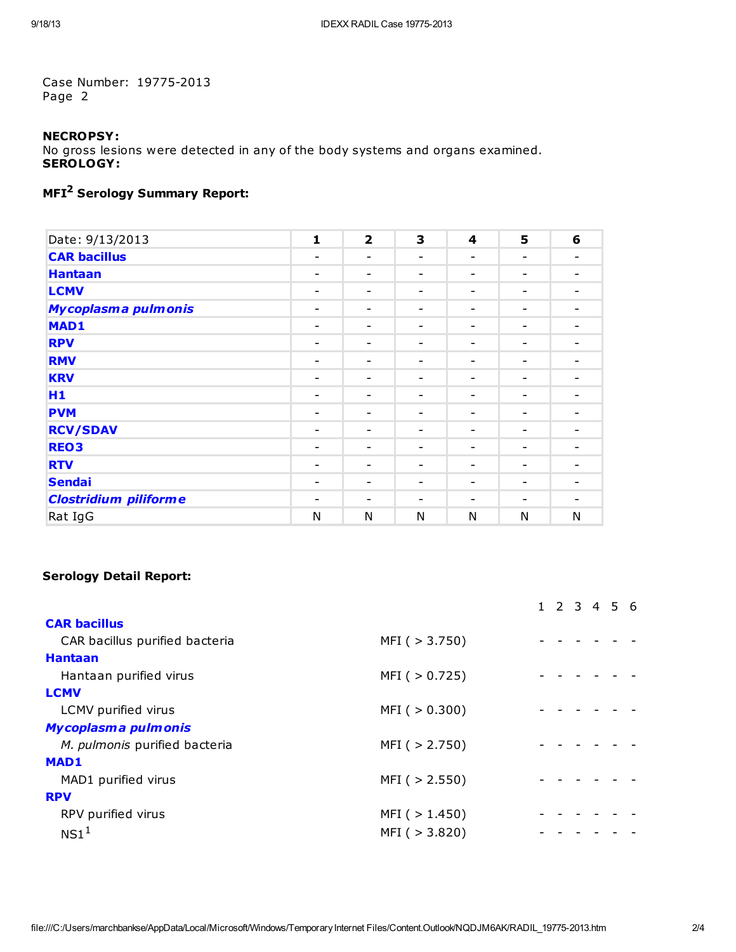Case Number: 19775-2013 Page 2

### NECROPSY:

No gross lesions were detected in any of the body systems and organs examined. SEROLOGY:

# MFI<sup>2</sup> Serology Summary Report:

| Date: 9/13/2013              | 1 | $\overline{\mathbf{2}}$  | 3                        | 4                        | 5 | 6 |
|------------------------------|---|--------------------------|--------------------------|--------------------------|---|---|
| <b>CAR bacillus</b>          |   | $\overline{\phantom{a}}$ |                          | $\overline{\phantom{a}}$ |   |   |
| <b>Hantaan</b>               |   | $\overline{\phantom{a}}$ | $\overline{\phantom{a}}$ | -                        | - |   |
| <b>LCMV</b>                  |   | -                        |                          | ۰                        |   |   |
| Mycoplasma pulmonis          |   |                          |                          |                          |   |   |
| <b>MAD1</b>                  |   | -                        |                          | $\overline{\phantom{0}}$ |   |   |
| <b>RPV</b>                   |   | $\overline{a}$           |                          | ۰                        |   |   |
| <b>RMV</b>                   |   | $\overline{\phantom{a}}$ |                          | -                        |   |   |
| <b>KRV</b>                   |   | $\overline{\phantom{0}}$ |                          |                          |   |   |
| H1                           |   |                          |                          |                          |   |   |
| <b>PVM</b>                   |   |                          |                          |                          |   |   |
| <b>RCV/SDAV</b>              |   | $\overline{\phantom{a}}$ |                          | -                        |   |   |
| REO <sub>3</sub>             |   | $\overline{\phantom{0}}$ |                          |                          |   |   |
| <b>RTV</b>                   |   | $\overline{\phantom{0}}$ |                          | $\overline{\phantom{0}}$ |   |   |
| <b>Sendai</b>                |   | -                        |                          |                          |   |   |
| <b>Clostridium piliforme</b> |   |                          |                          |                          |   |   |
| Rat IgG                      | N | N                        | N                        | N                        | N | N |

# Serology Detail Report:

|                                |               |  | 1 2 3 4 5 6 |  |
|--------------------------------|---------------|--|-------------|--|
| <b>CAR bacillus</b>            |               |  |             |  |
| CAR bacillus purified bacteria | MFI( > 3.750) |  |             |  |
| <b>Hantaan</b>                 |               |  |             |  |
| Hantaan purified virus         | MFI( > 0.725) |  |             |  |
| <b>LCMV</b>                    |               |  |             |  |
| LCMV purified virus            | MFI( > 0.300) |  |             |  |
| My coplasma pulmonis           |               |  |             |  |
| M. pulmonis purified bacteria  | MFI( > 2.750) |  |             |  |
| <b>MAD1</b>                    |               |  |             |  |
| MAD1 purified virus            | MFI( > 2.550) |  |             |  |
| <b>RPV</b>                     |               |  |             |  |
| RPV purified virus             | MFI( > 1.450) |  |             |  |
| NS1 <sup>1</sup>               | MFI( > 3.820) |  |             |  |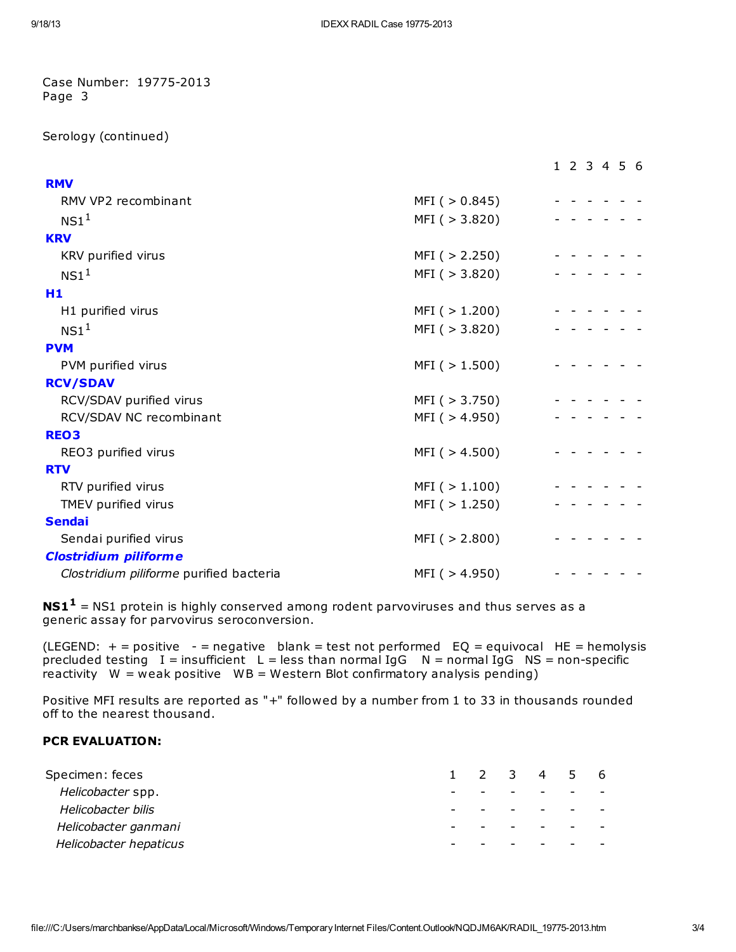Case Number: 19775-2013 Page 3

Serology (continued)

|                                         |               |  | 1 2 3 4 5 6 |  |  |
|-----------------------------------------|---------------|--|-------------|--|--|
| <b>RMV</b>                              |               |  |             |  |  |
| RMV VP2 recombinant                     | MFI( > 0.845) |  |             |  |  |
| NS1 <sup>1</sup>                        | MFI( > 3.820) |  |             |  |  |
| <b>KRV</b>                              |               |  |             |  |  |
| KRV purified virus                      | MFI( > 2.250) |  |             |  |  |
| NS1 <sup>1</sup>                        | MFI( > 3.820) |  |             |  |  |
| <b>H1</b>                               |               |  |             |  |  |
| H1 purified virus                       | MFI( > 1.200) |  |             |  |  |
| NS1 <sup>1</sup>                        | MFI( > 3.820) |  |             |  |  |
| <b>PVM</b>                              |               |  |             |  |  |
| PVM purified virus                      | MFI( > 1.500) |  |             |  |  |
| <b>RCV/SDAV</b>                         |               |  |             |  |  |
| RCV/SDAV purified virus                 | MFI( > 3.750) |  |             |  |  |
| RCV/SDAV NC recombinant                 | MFI( > 4.950) |  |             |  |  |
| <b>REO3</b>                             |               |  |             |  |  |
| REO3 purified virus                     | MFI( > 4.500) |  |             |  |  |
| <b>RTV</b>                              |               |  |             |  |  |
| RTV purified virus                      | MFI( > 1.100) |  |             |  |  |
| TMEV purified virus                     | MFI( > 1.250) |  |             |  |  |
| <b>Sendai</b>                           |               |  |             |  |  |
| Sendai purified virus                   | MFI( > 2.800) |  |             |  |  |
| <b>Clostridium piliforme</b>            |               |  |             |  |  |
| Clostridium piliforme purified bacteria | MFI( > 4.950) |  |             |  |  |
|                                         |               |  |             |  |  |

 $NS1<sup>1</sup>$  = NS1 protein is highly conserved among rodent parvoviruses and thus serves as a generic assay for parvovirus seroconversion.

(LEGEND:  $+$  = positive - = negative blank = test not performed EQ = equivocal HE = hemolysis precluded testing  $I =$  insufficient  $L =$  less than normal IgG  $N =$  normal IgG  $NS =$  non-specific reactivity  $W =$  weak positive  $WB =$  Western Blot confirmatory analysis pending)

Positive MFI results are reported as "+" followed by a number from 1 to 33 in thousands rounded off to the nearest thousand.

## PCR EVALUATION:

| Specimen: feces        | $\mathbf{1}$ | 2 3 4 5 |                          | -6 |
|------------------------|--------------|---------|--------------------------|----|
| Helicobacter spp.      |              |         | $\overline{\phantom{0}}$ |    |
| Helicobacter bilis     |              |         |                          |    |
| Helicobacter ganmani   |              |         |                          |    |
| Helicobacter hepaticus |              |         |                          |    |